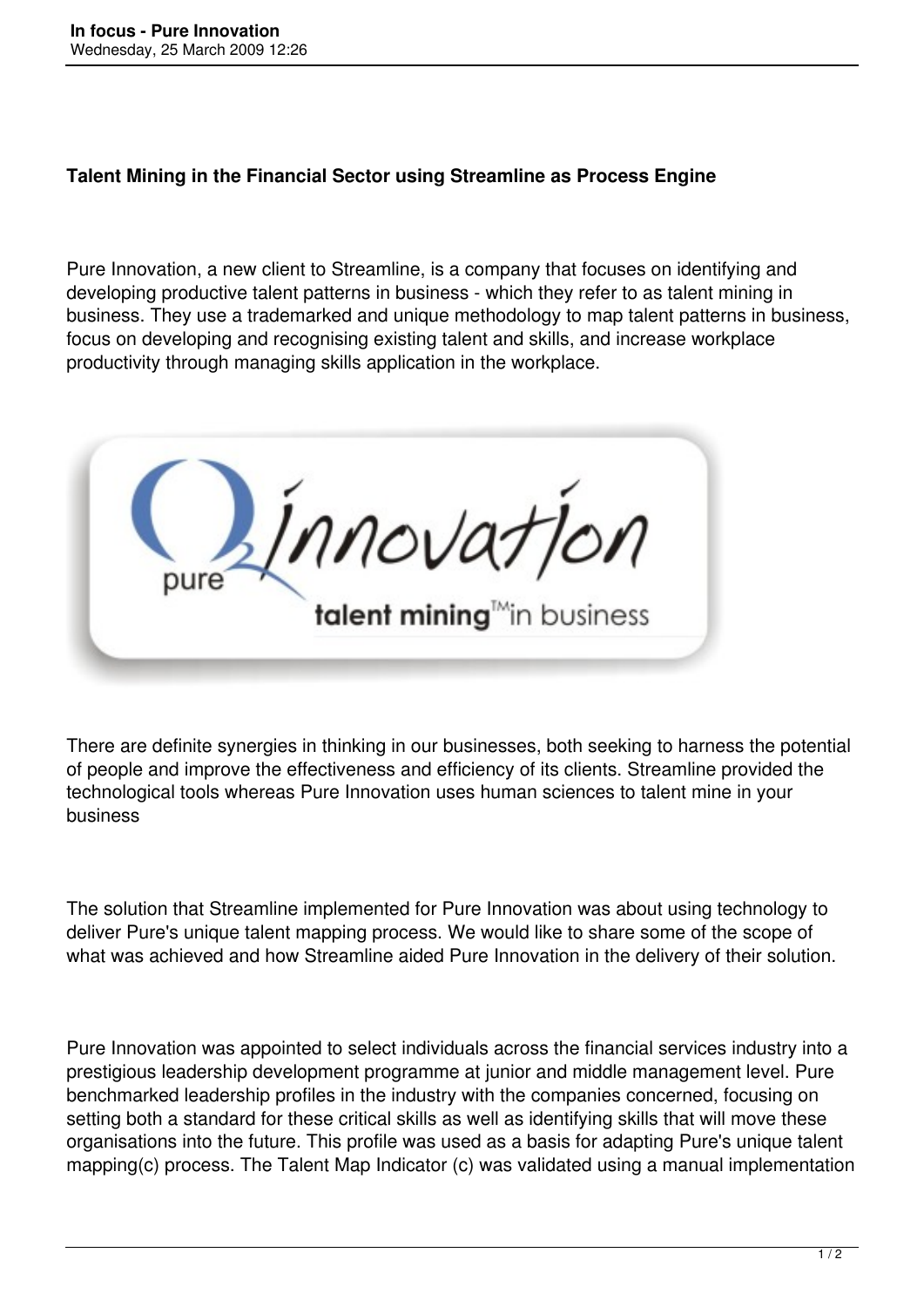## **Talent Mining in the Financial Sector using Streamline as Process Engine**

Pure Innovation, a new client to Streamline, is a company that focuses on identifying and developing productive talent patterns in business - which they refer to as talent mining in business. They use a trademarked and unique methodology to map talent patterns in business, focus on developing and recognising existing talent and skills, and increase workplace productivity through managing skills application in the workplace.

Innovation talent mining<sup>tM</sup>in business

There are definite synergies in thinking in our businesses, both seeking to harness the potential of people and improve the effectiveness and efficiency of its clients. Streamline provided the technological tools whereas Pure Innovation uses human sciences to talent mine in your business

The solution that Streamline implemented for Pure Innovation was about using technology to deliver Pure's unique talent mapping process. We would like to share some of the scope of what was achieved and how Streamline aided Pure Innovation in the delivery of their solution.

Pure Innovation was appointed to select individuals across the financial services industry into a prestigious leadership development programme at junior and middle management level. Pure benchmarked leadership profiles in the industry with the companies concerned, focusing on setting both a standard for these critical skills as well as identifying skills that will move these organisations into the future. This profile was used as a basis for adapting Pure's unique talent mapping(c) process. The Talent Map Indicator (c) was validated using a manual implementation